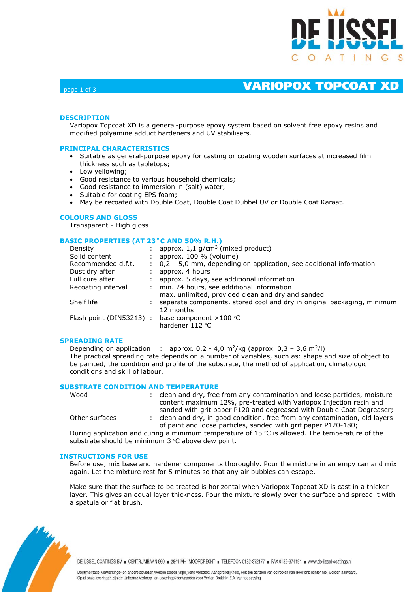

# page 1 of 3 **VARIOPOX TOPCOAT XD**

# **DESCRIPTION**

Variopox Topcoat XD is a general-purpose epoxy system based on solvent free epoxy resins and modified polyamine adduct hardeners and UV stabilisers.

# **PRINCIPAL CHARACTERISTICS**

- Suitable as general-purpose epoxy for casting or coating wooden surfaces at increased film thickness such as tabletops;
- Low yellowing;
- Good resistance to various household chemicals;
- Good resistance to immersion in (salt) water;
- Suitable for coating EPS foam;
- May be recoated with Double Coat, Double Coat Dubbel UV or Double Coat Karaat.

# **COLOURS AND GLOSS**

Transparent - High gloss

# **BASIC PROPERTIES (AT 23˚C AND 50% R.H.)**

| Density                 | approx. $1,1$ g/cm <sup>3</sup> (mixed product)                                 |
|-------------------------|---------------------------------------------------------------------------------|
| Solid content           | approx. 100 % (volume)                                                          |
| Recommended d.f.t.      | $\therefore$ 0,2 – 5,0 mm, depending on application, see additional information |
| Dust dry after          | approx. 4 hours                                                                 |
| Full cure after         | approx. 5 days, see additional information                                      |
| Recoating interval      | min. 24 hours, see additional information                                       |
|                         | max. unlimited, provided clean and dry and sanded                               |
| Shelf life              | separate components, stored cool and dry in original packaging, minimum         |
|                         | 12 months                                                                       |
| Flash point (DIN53213): | base component $>100$ °C                                                        |
|                         | hardener 112 °C                                                                 |

#### **SPREADING RATE**

Depending on application : approx.  $0,2 - 4,0$  m<sup>2</sup>/kg (approx.  $0,3 - 3,6$  m<sup>2</sup>/l) The practical spreading rate depends on a number of variables, such as: shape and size of object to be painted, the condition and profile of the substrate, the method of application, climatologic conditions and skill of labour.

# **SUBSTRATE CONDITION AND TEMPERATURE**

| Wood           | clean and dry, free from any contamination and loose particles, moisture  |
|----------------|---------------------------------------------------------------------------|
|                | content maximum 12%, pre-treated with Variopox Injection resin and        |
|                | sanded with grit paper P120 and degreased with Double Coat Degreaser;     |
| Other surfaces | clean and dry, in good condition, free from any contamination, old layers |
|                | of paint and loose particles, sanded with grit paper P120-180;            |

During application and curing a minimum temperature of 15 ºC is allowed. The temperature of the substrate should be minimum 3 °C above dew point.

### **INSTRUCTIONS FOR USE**

Before use, mix base and hardener components thoroughly. Pour the mixture in an empy can and mix again. Let the mixture rest for 5 minutes so that any air bubbles can escape.

Make sure that the surface to be treated is horizontal when Variopox Topcoat XD is cast in a thicker layer. This gives an equal layer thickness. Pour the mixture slowly over the surface and spread it with a spatula or flat brush.



DE IJSSEL COATINGS BV E CENTRUMBAAN 960 = 2841 MH MOORDRECHT = TELEFOON 0182-372177 = FAX 0182-374191 = www.de-ijssel-coatings.nl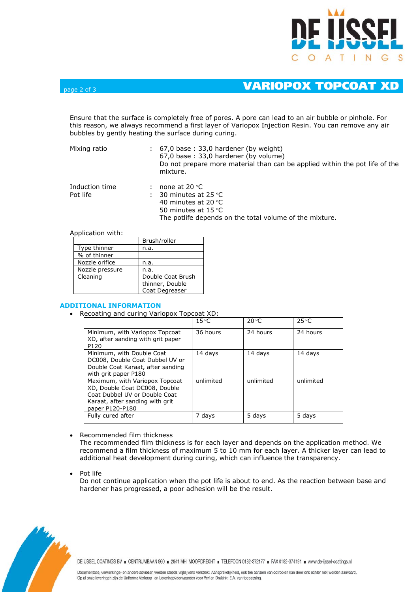

# page 2 of 3 **VARIOPOX TOPCOAT XD**

Ensure that the surface is completely free of pores. A pore can lead to an air bubble or pinhole. For this reason, we always recommend a first layer of Variopox Injection Resin. You can remove any air bubbles by gently heating the surface during curing.

| Mixing ratio   | $\pm$ 67,0 base $\pm$ 33,0 hardener (by weight)<br>67,0 base: 33,0 hardener (by volume)<br>Do not prepare more material than can be applied within the pot life of the<br>mixture. |
|----------------|------------------------------------------------------------------------------------------------------------------------------------------------------------------------------------|
| Induction time | none at 20 °C                                                                                                                                                                      |
| Pot life       | 30 minutes at 25 $°C$                                                                                                                                                              |
|                | 40 minutes at 20 $^{\circ}$ C                                                                                                                                                      |

The potlife depends on the total volume of the mixture.

50 minutes at 15 ºC

Application with:

|                 | Brush/roller                                           |
|-----------------|--------------------------------------------------------|
| Type thinner    | n.a.                                                   |
| % of thinner    |                                                        |
| Nozzle orifice  | n.a.                                                   |
| Nozzle pressure | n.a.                                                   |
| Cleaning        | Double Coat Brush<br>thinner, Double<br>Coat Degreaser |

# **ADDITIONAL INFORMATION**

Recoating and curing Variopox Topcoat XD:

|                                                                                                                                                        | $15^{\circ}$ C | $20^{\circ}$ C | $25^{\circ}$ C |
|--------------------------------------------------------------------------------------------------------------------------------------------------------|----------------|----------------|----------------|
| Minimum, with Variopox Topcoat<br>XD, after sanding with grit paper<br>P <sub>120</sub>                                                                | 36 hours       | 24 hours       | 24 hours       |
| Minimum, with Double Coat<br>DC008, Double Coat Dubbel UV or<br>Double Coat Karaat, after sanding<br>with grit paper P180                              | 14 days        | 14 days        | 14 days        |
| Maximum, with Variopox Topcoat<br>XD, Double Coat DC008, Double<br>Coat Dubbel UV or Double Coat<br>Karaat, after sanding with grit<br>paper P120-P180 | unlimited      | unlimited      | unlimited      |
| Fully cured after                                                                                                                                      | 7 days         | 5 days         | 5 days         |

Recommended film thickness

The recommended film thickness is for each layer and depends on the application method. We recommend a film thickness of maximum 5 to 10 mm for each layer. A thicker layer can lead to additional heat development during curing, which can influence the transparency.

• Pot life

Do not continue application when the pot life is about to end. As the reaction between base and hardener has progressed, a poor adhesion will be the result.



DE IJSSEL COATINGS BV CENTRUMBAAN 960 = 2841 MH MOORDRECHT = TELEFOON 0182-372177 = FAX 0182-374191 = www.de-ijssel-coatings.nl